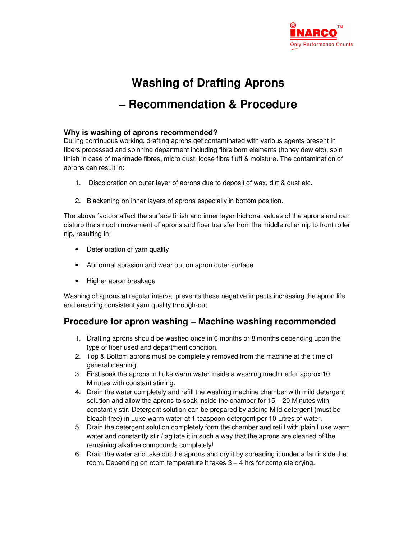

## **Washing of Drafting Aprons – Recommendation & Procedure**

## **Why is washing of aprons recommended?**

During continuous working, drafting aprons get contaminated with various agents present in fibers processed and spinning department including fibre born elements (honey dew etc), spin finish in case of manmade fibres, micro dust, loose fibre fluff & moisture. The contamination of aprons can result in:

- 1. Discoloration on outer layer of aprons due to deposit of wax, dirt & dust etc.
- 2. Blackening on inner layers of aprons especially in bottom position.

The above factors affect the surface finish and inner layer frictional values of the aprons and can disturb the smooth movement of aprons and fiber transfer from the middle roller nip to front roller nip, resulting in:

- Deterioration of yarn quality
- Abnormal abrasion and wear out on apron outer surface
- Higher apron breakage

Washing of aprons at regular interval prevents these negative impacts increasing the apron life and ensuring consistent yarn quality through-out.

## **Procedure for apron washing – Machine washing recommended**

- 1. Drafting aprons should be washed once in 6 months or 8 months depending upon the type of fiber used and department condition.
- 2. Top & Bottom aprons must be completely removed from the machine at the time of general cleaning.
- 3. First soak the aprons in Luke warm water inside a washing machine for approx.10 Minutes with constant stirring.
- 4. Drain the water completely and refill the washing machine chamber with mild detergent solution and allow the aprons to soak inside the chamber for 15 – 20 Minutes with constantly stir. Detergent solution can be prepared by adding Mild detergent (must be bleach free) in Luke warm water at 1 teaspoon detergent per 10 Litres of water.
- 5. Drain the detergent solution completely form the chamber and refill with plain Luke warm water and constantly stir / agitate it in such a way that the aprons are cleaned of the remaining alkaline compounds completely!
- 6. Drain the water and take out the aprons and dry it by spreading it under a fan inside the room. Depending on room temperature it takes 3 – 4 hrs for complete drying.